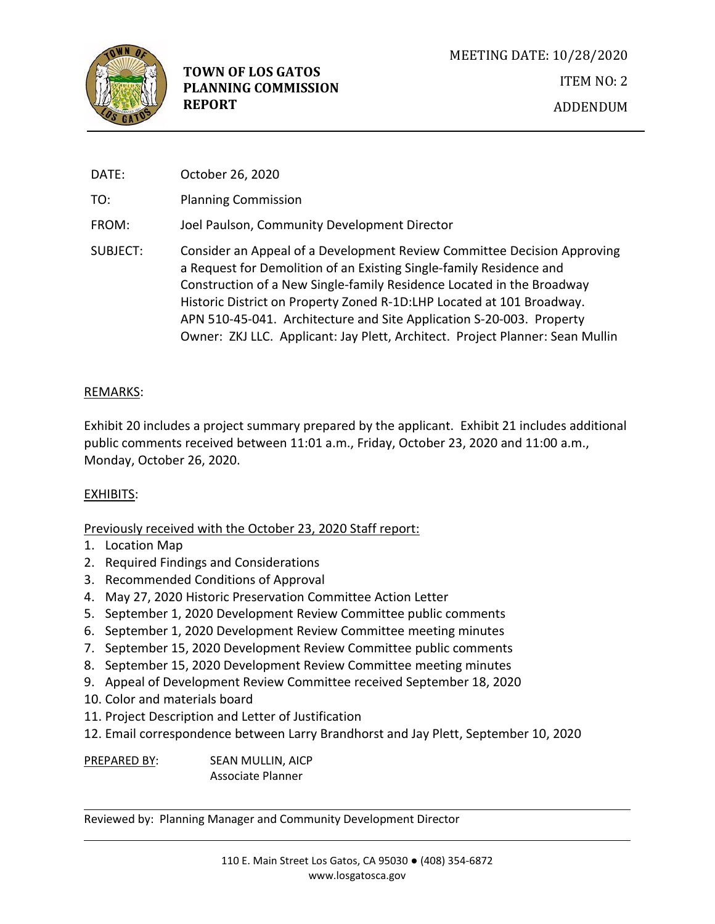

| DATE:    | October 26, 2020                                                                                                                                                                                                                                                                                                                                                                                                                                          |
|----------|-----------------------------------------------------------------------------------------------------------------------------------------------------------------------------------------------------------------------------------------------------------------------------------------------------------------------------------------------------------------------------------------------------------------------------------------------------------|
| TO:      | <b>Planning Commission</b>                                                                                                                                                                                                                                                                                                                                                                                                                                |
| FROM:    | Joel Paulson, Community Development Director                                                                                                                                                                                                                                                                                                                                                                                                              |
| SUBJECT: | Consider an Appeal of a Development Review Committee Decision Approving<br>a Request for Demolition of an Existing Single-family Residence and<br>Construction of a New Single-family Residence Located in the Broadway<br>Historic District on Property Zoned R-1D:LHP Located at 101 Broadway.<br>APN 510-45-041. Architecture and Site Application S-20-003. Property<br>Owner: ZKJ LLC. Applicant: Jay Plett, Architect. Project Planner: Sean Mullin |

## REMARKS:

Exhibit 20 includes a project summary prepared by the applicant. Exhibit 21 includes additional public comments received between 11:01 a.m., Friday, October 23, 2020 and 11:00 a.m., Monday, October 26, 2020.

## EXHIBITS:

Previously received with the October 23, 2020 Staff report:

- 1. Location Map
- 2. Required Findings and Considerations
- 3. Recommended Conditions of Approval
- 4. May 27, 2020 Historic Preservation Committee Action Letter
- 5. September 1, 2020 Development Review Committee public comments
- 6. September 1, 2020 Development Review Committee meeting minutes
- 7. September 15, 2020 Development Review Committee public comments
- 8. September 15, 2020 Development Review Committee meeting minutes
- 9. Appeal of Development Review Committee received September 18, 2020
- 10. Color and materials board
- 11. Project Description and Letter of Justification
- 12. Email correspondence between Larry Brandhorst and Jay Plett, September 10, 2020

PREPARED BY: SEAN MULLIN, AICP Associate Planner

Reviewed by: Planning Manager and Community Development Director